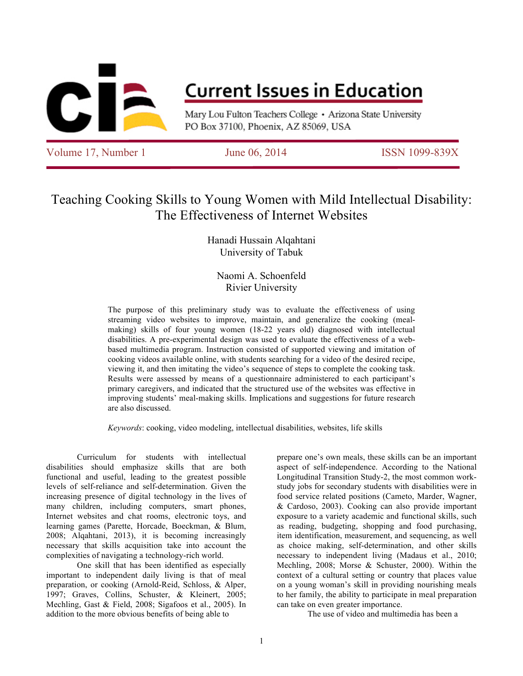

## **Current Issues in Education**

Mary Lou Fulton Teachers College • Arizona State University PO Box 37100, Phoenix, AZ 85069, USA

Volume 17, Number 1 June 06, 2014 ISSN 1099-839X

### Teaching Cooking Skills to Young Women with Mild Intellectual Disability: The Effectiveness of Internet Websites

#### Hanadi Hussain Alqahtani University of Tabuk

#### Naomi A. Schoenfeld Rivier University

The purpose of this preliminary study was to evaluate the effectiveness of using streaming video websites to improve, maintain, and generalize the cooking (mealmaking) skills of four young women (18-22 years old) diagnosed with intellectual disabilities. A pre-experimental design was used to evaluate the effectiveness of a webbased multimedia program. Instruction consisted of supported viewing and imitation of cooking videos available online, with students searching for a video of the desired recipe, viewing it, and then imitating the video's sequence of steps to complete the cooking task. Results were assessed by means of a questionnaire administered to each participant's primary caregivers, and indicated that the structured use of the websites was effective in improving students' meal-making skills. Implications and suggestions for future research are also discussed.

*Keywords*: cooking, video modeling, intellectual disabilities, websites, life skills

Curriculum for students with intellectual disabilities should emphasize skills that are both functional and useful, leading to the greatest possible levels of self-reliance and self-determination. Given the increasing presence of digital technology in the lives of many children, including computers, smart phones, Internet websites and chat rooms, electronic toys, and learning games (Parette, Horcade, Boeckman, & Blum, 2008; Alqahtani, 2013), it is becoming increasingly necessary that skills acquisition take into account the complexities of navigating a technology-rich world.

One skill that has been identified as especially important to independent daily living is that of meal preparation, or cooking (Arnold-Reid, Schloss, & Alper, 1997; Graves, Collins, Schuster, & Kleinert, 2005; Mechling, Gast & Field, 2008; Sigafoos et al., 2005). In addition to the more obvious benefits of being able to

prepare one's own meals, these skills can be an important aspect of self-independence. According to the National Longitudinal Transition Study-2, the most common workstudy jobs for secondary students with disabilities were in food service related positions (Cameto, Marder, Wagner, & Cardoso, 2003). Cooking can also provide important exposure to a variety academic and functional skills, such as reading, budgeting, shopping and food purchasing, item identification, measurement, and sequencing, as well as choice making, self-determination, and other skills necessary to independent living (Madaus et al., 2010; Mechling, 2008; Morse & Schuster, 2000). Within the context of a cultural setting or country that places value on a young woman's skill in providing nourishing meals to her family, the ability to participate in meal preparation can take on even greater importance.

The use of video and multimedia has been a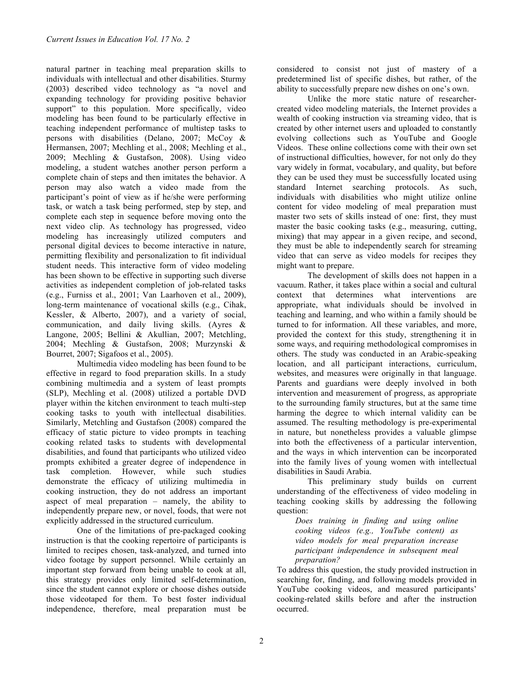natural partner in teaching meal preparation skills to individuals with intellectual and other disabilities. Sturmy (2003) described video technology as "a novel and expanding technology for providing positive behavior support" to this population. More specifically, video modeling has been found to be particularly effective in teaching independent performance of multistep tasks to persons with disabilities (Delano, 2007; McCoy & Hermansen, 2007; Mechling et al., 2008; Mechling et al., 2009; Mechling & Gustafson, 2008). Using video modeling, a student watches another person perform a complete chain of steps and then imitates the behavior. A person may also watch a video made from the participant's point of view as if he/she were performing task, or watch a task being performed, step by step, and complete each step in sequence before moving onto the next video clip. As technology has progressed, video modeling has increasingly utilized computers and personal digital devices to become interactive in nature, permitting flexibility and personalization to fit individual student needs. This interactive form of video modeling has been shown to be effective in supporting such diverse activities as independent completion of job-related tasks (e.g., Furniss et al., 2001; Van Laarhoven et al., 2009), long-term maintenance of vocational skills (e.g., Cihak, Kessler, & Alberto, 2007), and a variety of social, communication, and daily living skills. (Ayres & Langone, 2005; Bellini & Akullian, 2007; Metchling, 2004; Mechling & Gustafson, 2008; Murzynski & Bourret, 2007; Sigafoos et al., 2005).

Multimedia video modeling has been found to be effective in regard to food preparation skills. In a study combining multimedia and a system of least prompts (SLP), Mechling et al. (2008) utilized a portable DVD player within the kitchen environment to teach multi-step cooking tasks to youth with intellectual disabilities. Similarly, Metchling and Gustafson (2008) compared the efficacy of static picture to video prompts in teaching cooking related tasks to students with developmental disabilities, and found that participants who utilized video prompts exhibited a greater degree of independence in task completion. However, while such studies demonstrate the efficacy of utilizing multimedia in cooking instruction, they do not address an important aspect of meal preparation – namely, the ability to independently prepare new, or novel, foods, that were not explicitly addressed in the structured curriculum.

One of the limitations of pre-packaged cooking instruction is that the cooking repertoire of participants is limited to recipes chosen, task-analyzed, and turned into video footage by support personnel. While certainly an important step forward from being unable to cook at all, this strategy provides only limited self-determination, since the student cannot explore or choose dishes outside those videotaped for them. To best foster individual independence, therefore, meal preparation must be considered to consist not just of mastery of a predetermined list of specific dishes, but rather, of the ability to successfully prepare new dishes on one's own.

Unlike the more static nature of researchercreated video modeling materials, the Internet provides a wealth of cooking instruction via streaming video, that is created by other internet users and uploaded to constantly evolving collections such as YouTube and Google Videos. These online collections come with their own set of instructional difficulties, however, for not only do they vary widely in format, vocabulary, and quality, but before they can be used they must be successfully located using standard Internet searching protocols. As such, individuals with disabilities who might utilize online content for video modeling of meal preparation must master two sets of skills instead of one: first, they must master the basic cooking tasks (e.g., measuring, cutting, mixing) that may appear in a given recipe, and second, they must be able to independently search for streaming video that can serve as video models for recipes they might want to prepare.

The development of skills does not happen in a vacuum. Rather, it takes place within a social and cultural context that determines what interventions are appropriate, what individuals should be involved in teaching and learning, and who within a family should be turned to for information. All these variables, and more, provided the context for this study, strengthening it in some ways, and requiring methodological compromises in others. The study was conducted in an Arabic-speaking location, and all participant interactions, curriculum, websites, and measures were originally in that language. Parents and guardians were deeply involved in both intervention and measurement of progress, as appropriate to the surrounding family structures, but at the same time harming the degree to which internal validity can be assumed. The resulting methodology is pre-experimental in nature, but nonetheless provides a valuable glimpse into both the effectiveness of a particular intervention, and the ways in which intervention can be incorporated into the family lives of young women with intellectual disabilities in Saudi Arabia.

This preliminary study builds on current understanding of the effectiveness of video modeling in teaching cooking skills by addressing the following question:

*Does training in finding and using online cooking videos (e.g., YouTube content) as video models for meal preparation increase participant independence in subsequent meal preparation?*

To address this question, the study provided instruction in searching for, finding, and following models provided in YouTube cooking videos, and measured participants' cooking-related skills before and after the instruction occurred.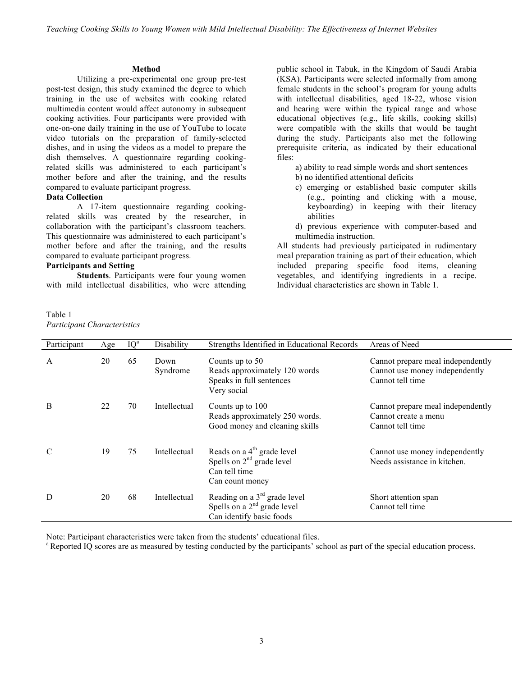#### **Method**

Utilizing a pre-experimental one group pre-test post-test design, this study examined the degree to which training in the use of websites with cooking related multimedia content would affect autonomy in subsequent cooking activities. Four participants were provided with one-on-one daily training in the use of YouTube to locate video tutorials on the preparation of family-selected dishes, and in using the videos as a model to prepare the dish themselves. A questionnaire regarding cookingrelated skills was administered to each participant's mother before and after the training, and the results compared to evaluate participant progress.

#### **Data Collection**

A 17-item questionnaire regarding cookingrelated skills was created by the researcher, in collaboration with the participant's classroom teachers. This questionnaire was administered to each participant's mother before and after the training, and the results compared to evaluate participant progress.

#### **Participants and Setting**

**Students**. Participants were four young women with mild intellectual disabilities, who were attending

Table 1 *Participant Characteristics* public school in Tabuk, in the Kingdom of Saudi Arabia (KSA). Participants were selected informally from among female students in the school's program for young adults with intellectual disabilities, aged 18-22, whose vision and hearing were within the typical range and whose educational objectives (e.g., life skills, cooking skills) were compatible with the skills that would be taught during the study. Participants also met the following prerequisite criteria, as indicated by their educational files:

a) ability to read simple words and short sentences

- b) no identified attentional deficits
- c) emerging or established basic computer skills (e.g., pointing and clicking with a mouse, keyboarding) in keeping with their literacy abilities
- d) previous experience with computer-based and multimedia instruction.

All students had previously participated in rudimentary meal preparation training as part of their education, which included preparing specific food items, cleaning vegetables, and identifying ingredients in a recipe. Individual characteristics are shown in Table 1.

| Participant | Age | $IQ^a$ | Disability       | Strengths Identified in Educational Records                                                               | Areas of Need                                                                           |
|-------------|-----|--------|------------------|-----------------------------------------------------------------------------------------------------------|-----------------------------------------------------------------------------------------|
| A           | 20  | 65     | Down<br>Syndrome | Counts up to 50<br>Reads approximately 120 words<br>Speaks in full sentences<br>Very social               | Cannot prepare meal independently<br>Cannot use money independently<br>Cannot tell time |
| B           | 22  | 70     | Intellectual     | Counts up to 100<br>Reads approximately 250 words.<br>Good money and cleaning skills                      | Cannot prepare meal independently<br>Cannot create a menu<br>Cannot tell time           |
| C           | 19  | 75     | Intellectual     | Reads on a 4 <sup>th</sup> grade level<br>Spells on $2nd$ grade level<br>Can tell time<br>Can count money | Cannot use money independently<br>Needs assistance in kitchen.                          |
| D           | 20  | 68     | Intellectual     | Reading on a $3rd$ grade level<br>Spells on a $2nd$ grade level<br>Can identify basic foods               | Short attention span<br>Cannot tell time                                                |

Note: Participant characteristics were taken from the students' educational files.

<sup>a</sup> Reported IQ scores are as measured by testing conducted by the participants' school as part of the special education process.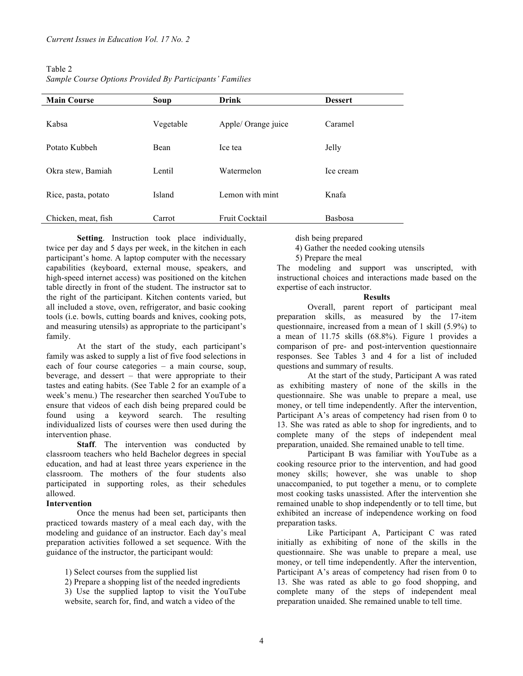| Table 2                                                  |
|----------------------------------------------------------|
| Sample Course Options Provided By Participants' Families |

| <b>Main Course</b>  | Soup      | <b>Drink</b>        | <b>Dessert</b> |
|---------------------|-----------|---------------------|----------------|
|                     |           |                     |                |
| Kabsa               | Vegetable | Apple/ Orange juice | Caramel        |
|                     |           |                     |                |
| Potato Kubbeh       | Bean      | Ice tea             | Jelly          |
|                     |           |                     |                |
| Okra stew, Bamiah   | Lentil    | Watermelon          | Ice cream      |
|                     | Island    | Lemon with mint     | Knafa          |
| Rice, pasta, potato |           |                     |                |
| Chicken, meat, fish | Carrot    | Fruit Cocktail      | <b>Basbosa</b> |
|                     |           |                     |                |

**Setting**. Instruction took place individually, twice per day and 5 days per week, in the kitchen in each participant's home. A laptop computer with the necessary capabilities (keyboard, external mouse, speakers, and high-speed internet access) was positioned on the kitchen table directly in front of the student. The instructor sat to the right of the participant. Kitchen contents varied, but all included a stove, oven, refrigerator, and basic cooking tools (i.e. bowls, cutting boards and knives, cooking pots, and measuring utensils) as appropriate to the participant's family.

At the start of the study, each participant's family was asked to supply a list of five food selections in each of four course categories – a main course, soup, beverage, and dessert – that were appropriate to their tastes and eating habits. (See Table 2 for an example of a week's menu.) The researcher then searched YouTube to ensure that videos of each dish being prepared could be found using a keyword search. The resulting individualized lists of courses were then used during the intervention phase.

**Staff.** The intervention was conducted by classroom teachers who held Bachelor degrees in special education, and had at least three years experience in the classroom. The mothers of the four students also participated in supporting roles, as their schedules allowed.

#### **Intervention**

Once the menus had been set, participants then practiced towards mastery of a meal each day, with the modeling and guidance of an instructor. Each day's meal preparation activities followed a set sequence. With the guidance of the instructor, the participant would:

1) Select courses from the supplied list

2) Prepare a shopping list of the needed ingredients

3) Use the supplied laptop to visit the YouTube website, search for, find, and watch a video of the

dish being prepared

4) Gather the needed cooking utensils

5) Prepare the meal

The modeling and support was unscripted, with instructional choices and interactions made based on the expertise of each instructor.

#### **Results**

Overall, parent report of participant meal preparation skills, as measured by the 17-item questionnaire, increased from a mean of 1 skill (5.9%) to a mean of 11.75 skills (68.8%). Figure 1 provides a comparison of pre- and post-intervention questionnaire responses. See Tables 3 and 4 for a list of included questions and summary of results.

At the start of the study, Participant A was rated as exhibiting mastery of none of the skills in the questionnaire. She was unable to prepare a meal, use money, or tell time independently. After the intervention, Participant A's areas of competency had risen from 0 to 13. She was rated as able to shop for ingredients, and to complete many of the steps of independent meal preparation, unaided. She remained unable to tell time.

Participant B was familiar with YouTube as a cooking resource prior to the intervention, and had good money skills; however, she was unable to shop unaccompanied, to put together a menu, or to complete most cooking tasks unassisted. After the intervention she remained unable to shop independently or to tell time, but exhibited an increase of independence working on food preparation tasks.

Like Participant A, Participant C was rated initially as exhibiting of none of the skills in the questionnaire. She was unable to prepare a meal, use money, or tell time independently. After the intervention, Participant A's areas of competency had risen from 0 to 13. She was rated as able to go food shopping, and complete many of the steps of independent meal preparation unaided. She remained unable to tell time.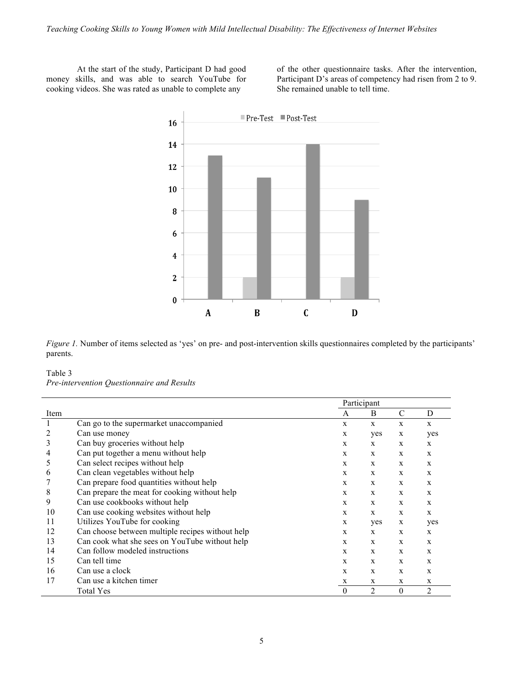At the start of the study, Participant D had good money skills, and was able to search YouTube for cooking videos. She was rated as unable to complete any

of the other questionnaire tasks. After the intervention, Participant D's areas of competency had risen from 2 to 9. She remained unable to tell time.



*Figure 1.* Number of items selected as 'yes' on pre- and post-intervention skills questionnaires completed by the participants' parents.

#### Table 3 *Pre-intervention Questionnaire and Results*

|      |                                                  | Participant  |                |               |                |
|------|--------------------------------------------------|--------------|----------------|---------------|----------------|
| Item |                                                  | A            | B              | $\mathcal{C}$ | D              |
|      | Can go to the supermarket unaccompanied          | X            | $\mathbf{x}$   | X             | $\mathbf{x}$   |
|      | Can use money                                    | X            | yes            | X             | yes            |
| 3    | Can buy groceries without help                   | X            | X              | X             | X              |
| 4    | Can put together a menu without help             | $\mathbf{x}$ | $\mathbf{x}$   | $\mathbf{x}$  | $\mathbf{x}$   |
| 5    | Can select recipes without help                  | X            | X              | X             | X              |
| 6    | Can clean vegetables without help                | X            | X              | X             | X              |
|      | Can prepare food quantities without help         | X            | X              | X             | X              |
| 8    | Can prepare the meat for cooking without help    | X            | X              | X             | X              |
| 9    | Can use cookbooks without help                   | X            | X              | $\mathbf{x}$  | X              |
| 10   | Can use cooking websites without help            | X            | $\mathbf{x}$   | $\mathbf{x}$  | $\mathbf{x}$   |
| 11   | Utilizes YouTube for cooking                     | X            | yes            | X             | yes            |
| 12   | Can choose between multiple recipes without help | X            | X              | X             | $\mathbf{x}$   |
| 13   | Can cook what she sees on YouTube without help   | $\mathbf{x}$ | X              | $\mathbf{x}$  | $\mathbf{x}$   |
| 14   | Can follow modeled instructions                  | X            | X              | $\mathbf{x}$  | $\mathbf{x}$   |
| 15   | Can tell time                                    | X            | $\mathbf{x}$   | $\mathbf{x}$  | X              |
| 16   | Can use a clock                                  | $\mathbf{x}$ | X              | $\mathbf{x}$  | $\mathbf{x}$   |
| 17   | Can use a kitchen timer                          | X            | X              | X             | X              |
|      | Total Yes                                        | $\Omega$     | $\overline{2}$ | $\theta$      | $\overline{2}$ |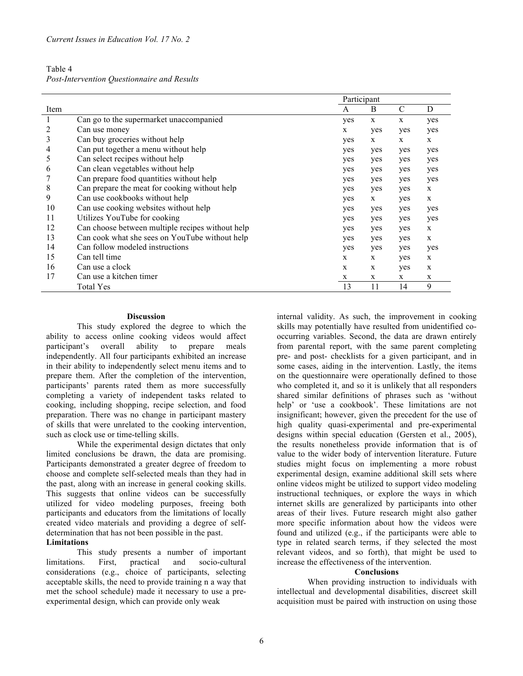| Table 4                                     |  |  |
|---------------------------------------------|--|--|
| Post-Intervention Questionnaire and Results |  |  |

|      |                                                  | Participant |     |              |              |
|------|--------------------------------------------------|-------------|-----|--------------|--------------|
| Item |                                                  | A           | B   | C            | D            |
| 1    | Can go to the supermarket unaccompanied          | yes         | X   | X            | yes          |
| 2    | Can use money                                    | X           | yes | yes          | yes          |
| 3    | Can buy groceries without help                   | yes         | X   | $\mathbf{x}$ | $\mathbf{x}$ |
| 4    | Can put together a menu without help             | yes         | yes | yes          | yes          |
| 5    | Can select recipes without help                  | yes         | yes | yes          | yes          |
| 6    | Can clean vegetables without help                | yes         | yes | yes          | yes          |
|      | Can prepare food quantities without help         | yes         | yes | yes          | yes          |
| 8    | Can prepare the meat for cooking without help    | yes         | yes | yes          | X            |
| 9    | Can use cookbooks without help                   | yes         | X   | yes          | $\mathbf{x}$ |
| 10   | Can use cooking websites without help            | yes         | yes | yes          | yes          |
| 11   | Utilizes YouTube for cooking                     | yes         | yes | yes          | yes          |
| 12   | Can choose between multiple recipes without help | yes         | yes | yes          | X            |
| 13   | Can cook what she sees on YouTube without help   | yes         | yes | yes          | $\mathbf{x}$ |
| 14   | Can follow modeled instructions                  | yes         | yes | yes          | yes          |
| 15   | Can tell time                                    | X           | X   | yes          | X            |
| 16   | Can use a clock                                  | X           | X   | yes          | X            |
| 17   | Can use a kitchen timer                          | X           | X   | $\mathbf{x}$ | X            |
|      | Total Yes                                        | 13          | 11  | 14           | 9            |

#### **Discussion**

This study explored the degree to which the ability to access online cooking videos would affect participant's overall ability to prepare meals independently. All four participants exhibited an increase in their ability to independently select menu items and to prepare them. After the completion of the intervention, participants' parents rated them as more successfully completing a variety of independent tasks related to cooking, including shopping, recipe selection, and food preparation. There was no change in participant mastery of skills that were unrelated to the cooking intervention, such as clock use or time-telling skills.

While the experimental design dictates that only limited conclusions be drawn, the data are promising. Participants demonstrated a greater degree of freedom to choose and complete self-selected meals than they had in the past, along with an increase in general cooking skills. This suggests that online videos can be successfully utilized for video modeling purposes, freeing both participants and educators from the limitations of locally created video materials and providing a degree of selfdetermination that has not been possible in the past.

#### **Limitations**

This study presents a number of important limitations. First, practical and socio-cultural considerations (e.g., choice of participants, selecting acceptable skills, the need to provide training n a way that met the school schedule) made it necessary to use a preexperimental design, which can provide only weak

internal validity. As such, the improvement in cooking skills may potentially have resulted from unidentified cooccurring variables. Second, the data are drawn entirely from parental report, with the same parent completing pre- and post- checklists for a given participant, and in some cases, aiding in the intervention. Lastly, the items on the questionnaire were operationally defined to those who completed it, and so it is unlikely that all responders shared similar definitions of phrases such as 'without help' or 'use a cookbook'. These limitations are not insignificant; however, given the precedent for the use of high quality quasi-experimental and pre-experimental designs within special education (Gersten et al., 2005), the results nonetheless provide information that is of value to the wider body of intervention literature. Future studies might focus on implementing a more robust experimental design, examine additional skill sets where online videos might be utilized to support video modeling instructional techniques, or explore the ways in which internet skills are generalized by participants into other areas of their lives. Future research might also gather more specific information about how the videos were found and utilized (e.g., if the participants were able to type in related search terms, if they selected the most relevant videos, and so forth), that might be used to increase the effectiveness of the intervention.

#### **Conclusions**

When providing instruction to individuals with intellectual and developmental disabilities, discreet skill acquisition must be paired with instruction on using those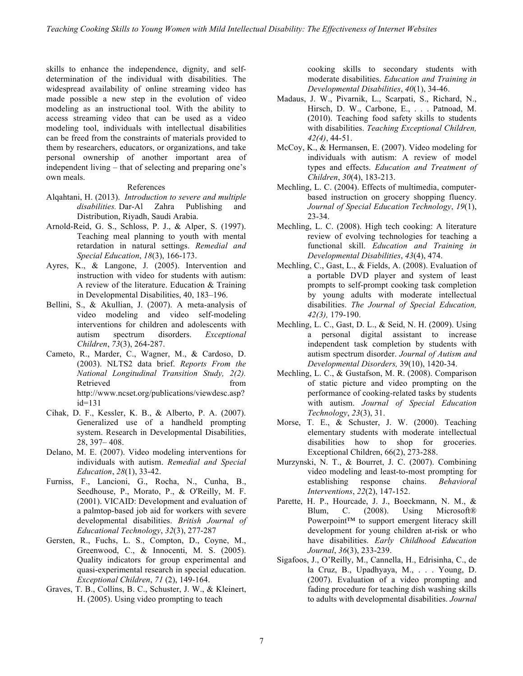skills to enhance the independence, dignity, and selfdetermination of the individual with disabilities. The widespread availability of online streaming video has made possible a new step in the evolution of video modeling as an instructional tool. With the ability to access streaming video that can be used as a video modeling tool, individuals with intellectual disabilities can be freed from the constraints of materials provided to them by researchers, educators, or organizations, and take personal ownership of another important area of independent living – that of selecting and preparing one's own meals.

#### References

- Alqahtani, H. (2013). *Introduction to severe and multiple disabilities.* Dar-Al Zahra Publishing and Distribution, Riyadh, Saudi Arabia.
- Arnold-Reid, G. S., Schloss, P. J., & Alper, S. (1997). Teaching meal planning to youth with mental retardation in natural settings. *Remedial and Special Education*, *18*(3), 166-173.
- Ayres, K., & Langone, J. (2005). Intervention and instruction with video for students with autism: A review of the literature. Education & Training in Developmental Disabilities, 40, 183–196.
- Bellini, S., & Akullian, J. (2007). A meta-analysis of video modeling and video self-modeling interventions for children and adolescents with autism spectrum disorders. *Exceptional Children*, *73*(3), 264-287.
- Cameto, R., Marder, C., Wagner, M., & Cardoso, D. (2003). NLTS2 data brief. *Reports From the National Longitudinal Transition Study, 2(2).*  Retrieved from from the set of the set of the set of the set of the set of the set of the set of the set of the set of the set of the set of the set of the set of the set of the set of the set of the set of the set of the http://www.ncset.org/publications/viewdesc.asp? id=131
- Cihak, D. F., Kessler, K. B., & Alberto, P. A. (2007). Generalized use of a handheld prompting system. Research in Developmental Disabilities, 28, 397– 408.
- Delano, M. E. (2007). Video modeling interventions for individuals with autism. *Remedial and Special Education*, *28*(1), 33-42.
- Furniss, F., Lancioni, G., Rocha, N., Cunha, B., Seedhouse, P., Morato, P., & O'Reilly, M. F. (2001). VICAID: Development and evaluation of a palmtop-based job aid for workers with severe developmental disabilities. *British Journal of Educational Technology*, *32*(3), 277-287
- Gersten, R., Fuchs, L. S., Compton, D., Coyne, M., Greenwood, C., & Innocenti, M. S. (2005). Quality indicators for group experimental and quasi-experimental research in special education. *Exceptional Children*, *71* (2), 149-164.
- Graves, T. B., Collins, B. C., Schuster, J. W., & Kleinert, H. (2005). Using video prompting to teach

cooking skills to secondary students with moderate disabilities. *Education and Training in Developmental Disabilities*, *40*(1), 34-46.

- Madaus, J. W., Pivarnik, L., Scarpati, S., Richard, N., Hirsch, D. W., Carbone, E., . . . Patnoad, M. (2010). Teaching food safety skills to students with disabilities. *Teaching Exceptional Children, 42(4)*, 44-51.
- McCoy, K., & Hermansen, E. (2007). Video modeling for individuals with autism: A review of model types and effects. *Education and Treatment of Children*, *30*(4), 183-213.
- Mechling, L. C. (2004). Effects of multimedia, computerbased instruction on grocery shopping fluency. *Journal of Special Education Technology*, *19*(1), 23-34.
- Mechling, L. C. (2008). High tech cooking: A literature review of evolving technologies for teaching a functional skill. *Education and Training in Developmental Disabilities*, *43*(4), 474.
- Mechling, C., Gast, L., & Fields, A. (2008). Evaluation of a portable DVD player and system of least prompts to self-prompt cooking task completion by young adults with moderate intellectual disabilities. *The Journal of Special Education, 42(3),* 179-190.
- Mechling, L. C., Gast, D. L., & Seid, N. H. (2009). Using a personal digital assistant to increase independent task completion by students with autism spectrum disorder. *Journal of Autism and Developmental Disorders,* 39(10), 1420-34.
- Mechling, L. C., & Gustafson, M. R. (2008). Comparison of static picture and video prompting on the performance of cooking-related tasks by students with autism. *Journal of Special Education Technology*, *23*(3), 31.
- Morse, T. E., & Schuster, J. W. (2000). Teaching elementary students with moderate intellectual disabilities how to shop for groceries. Exceptional Children, 66(2), 273-288.
- Murzynski, N. T., & Bourret, J. C. (2007). Combining video modeling and least-to-most prompting for establishing response chains. *Behavioral Interventions*, *22*(2), 147-152.
- Parette, H. P., Hourcade, J. J., Boeckmann, N. M., & Blum, C. (2008). Using Microsoft® Powerpoint™ to support emergent literacy skill development for young children at-risk or who have disabilities. *Early Childhood Education Journal*, *36*(3), 233-239.
- Sigafoos, J., O'Reilly, M., Cannella, H., Edrisinha, C., de la Cruz, B., Upadhyaya, M., . . . Young, D. (2007). Evaluation of a video prompting and fading procedure for teaching dish washing skills to adults with developmental disabilities. *Journal*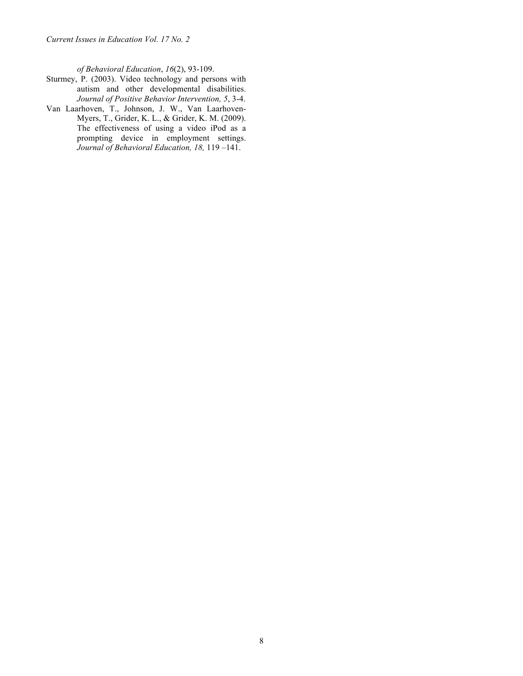*Current Issues in Education Vol. 17 No. 2*

*of Behavioral Education*, *16*(2), 93-109.

- Sturmey, P. (2003). Video technology and persons with autism and other developmental disabilities. *Journal of Positive Behavior Intervention, 5*, 3-4.
- Van Laarhoven, T., Johnson, J. W., Van Laarhoven-Myers, T., Grider, K. L., & Grider, K. M. (2009). The effectiveness of using a video iPod as a prompting device in employment settings. *Journal of Behavioral Education, 18,* 119 –141.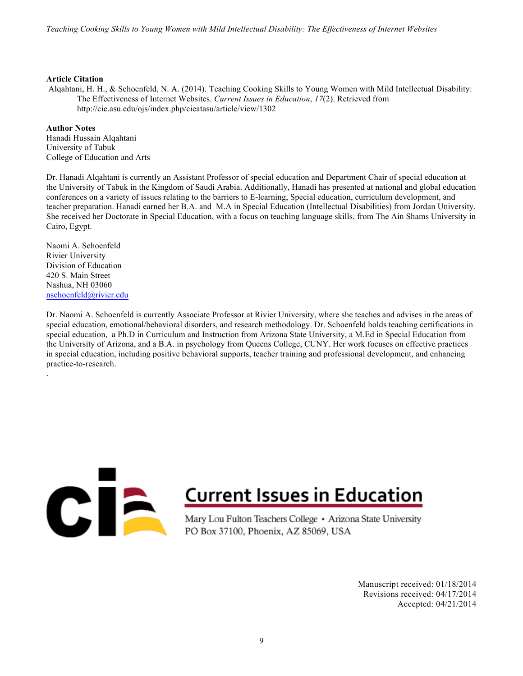#### **Article Citation**

Alqahtani, H. H., & Schoenfeld, N. A. (2014). Teaching Cooking Skills to Young Women with Mild Intellectual Disability: The Effectiveness of Internet Websites. *Current Issues in Education*, *17*(2). Retrieved from http://cie.asu.edu/ojs/index.php/cieatasu/article/view/1302

#### **Author Notes**

Hanadi Hussain Alqahtani University of Tabuk College of Education and Arts

Dr. Hanadi Alqahtani is currently an Assistant Professor of special education and Department Chair of special education at the University of Tabuk in the Kingdom of Saudi Arabia. Additionally, Hanadi has presented at national and global education conferences on a variety of issues relating to the barriers to E-learning, Special education, curriculum development, and teacher preparation. Hanadi earned her B.A. and M.A in Special Education (Intellectual Disabilities) from Jordan University. She received her Doctorate in Special Education, with a focus on teaching language skills, from The Ain Shams University in Cairo, Egypt.

Naomi A. Schoenfeld Rivier University Division of Education 420 S. Main Street Nashua, NH 03060 nschoenfeld@rivier.edu

.

Dr. Naomi A. Schoenfeld is currently Associate Professor at Rivier University, where she teaches and advises in the areas of special education, emotional/behavioral disorders, and research methodology. Dr. Schoenfeld holds teaching certifications in special education, a Ph.D in Curriculum and Instruction from Arizona State University, a M.Ed in Special Education from the University of Arizona, and a B.A. in psychology from Queens College, CUNY. Her work focuses on effective practices in special education, including positive behavioral supports, teacher training and professional development, and enhancing practice-to-research.

# CIÈ

## **Current Issues in Education**

Mary Lou Fulton Teachers College • Arizona State University PO Box 37100, Phoenix, AZ 85069, USA

> Manuscript received: 01/18/2014 Revisions received: 04/17/2014 Accepted: 04/21/2014